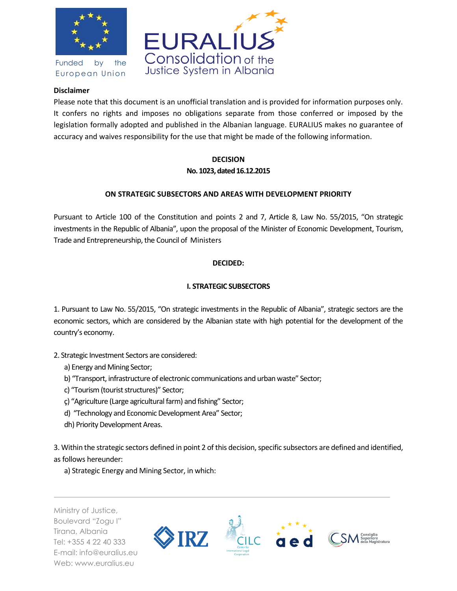

Funded by the European Union



#### **Disclaimer**

Please note that this document is an unofficial translation and is provided for information purposes only. It confers no rights and imposes no obligations separate from those conferred or imposed by the legislation formally adopted and published in the Albanian language. EURALIUS makes no guarantee of accuracy and waives responsibility for the use that might be made of the following information.

# **DECISION No. 1023, dated 16.12.2015**

# **ON STRATEGIC SUBSECTORS AND AREAS WITH DEVELOPMENT PRIORITY**

Pursuant to Article 100 of the Constitution and points 2 and 7, Article 8, Law No. 55/2015, "On strategic investments in the Republic of Albania", upon the proposal of the Minister of Economic Development, Tourism, Trade and Entrepreneurship, the Council of Ministers

# **DECIDED:**

# **I. STRATEGIC SUBSECTORS**

1. Pursuant to Law No. 55/2015, "On strategic investments in the Republic of Albania", strategic sectors are the economic sectors, which are considered by the Albanian state with high potential for the development of the country's economy.

- 2. Strategic Investment Sectors are considered:
	- a) Energy and Mining Sector;
	- b) "Transport, infrastructure of electronic communications and urban waste" Sector;
	- c) "Tourism (tourist structures)" Sector;
	- ç) "Agriculture (Large agricultural farm) and fishing" Sector;
	- d) "Technology and Economic Development Area" Sector;
	- dh) Priority Development Areas.

3. Within the strategic sectors defined in point 2 of this decision, specific subsectors are defined and identified, as follows hereunder:

a) Strategic Energy and Mining Sector, in which:

Ministry of Justice, Boulevard "Zogu I" Tirana, Albania Tel: +355 4 22 40 333 E-mail: info@euralius.eu Web: www.euralius.eu

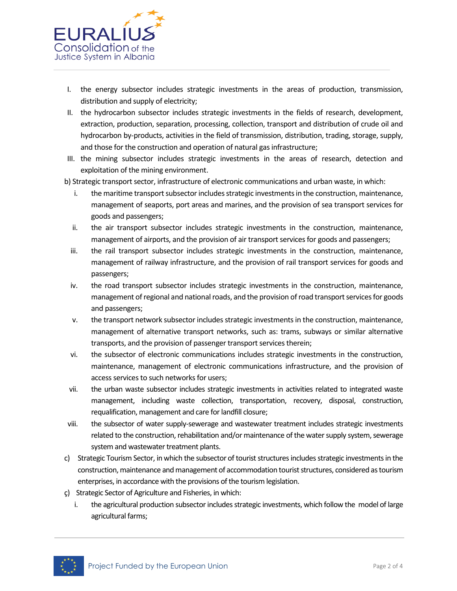

- I. the energy subsector includes strategic investments in the areas of production, transmission, distribution and supply of electricity;
- II. the hydrocarbon subsector includes strategic investments in the fields of research, development, extraction, production, separation, processing, collection, transport and distribution of crude oil and hydrocarbon by-products, activities in the field of transmission, distribution, trading, storage, supply, and those for the construction and operation of natural gas infrastructure;
- III. the mining subsector includes strategic investments in the areas of research, detection and exploitation of the mining environment.
- b) Strategic transport sector, infrastructure of electronic communications and urban waste, in which:
	- i. the maritime transport subsector includes strategic investments in the construction, maintenance, management of seaports, port areas and marines, and the provision of sea transport services for goods and passengers;
	- ii. the air transport subsector includes strategic investments in the construction, maintenance, management of airports, and the provision of air transport services for goods and passengers;
	- iii. the rail transport subsector includes strategic investments in the construction, maintenance, management of railway infrastructure, and the provision of rail transport services for goods and passengers;
	- iv. the road transport subsector includes strategic investments in the construction, maintenance, management of regional and national roads, and the provision of road transport services for goods and passengers;
	- v. the transport network subsector includes strategic investments in the construction, maintenance, management of alternative transport networks, such as: trams, subways or similar alternative transports, and the provision of passenger transport services therein;
	- vi. the subsector of electronic communications includes strategic investments in the construction, maintenance, management of electronic communications infrastructure, and the provision of access services to such networks for users;
- vii. the urban waste subsector includes strategic investments in activities related to integrated waste management, including waste collection, transportation, recovery, disposal, construction, requalification, management and care for landfill closure;
- viii. the subsector of water supply-sewerage and wastewater treatment includes strategic investments related to the construction, rehabilitation and/or maintenance of the water supply system, sewerage system and wastewater treatment plants.
- c) Strategic Tourism Sector, in which the subsector of tourist structures includes strategic investments in the construction, maintenance and management of accommodation tourist structures, considered as tourism enterprises, in accordance with the provisions of the tourism legislation.
- ç) Strategic Sector of Agriculture and Fisheries, in which:
	- i. the agricultural production subsector includes strategic investments, which follow the model of large agricultural farms;

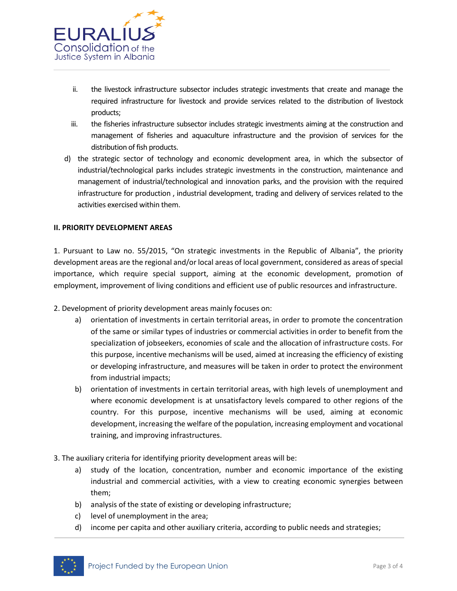

- ii. the livestock infrastructure subsector includes strategic investments that create and manage the required infrastructure for livestock and provide services related to the distribution of livestock products;
- iii. the fisheries infrastructure subsector includes strategic investments aiming at the construction and management of fisheries and aquaculture infrastructure and the provision of services for the distribution of fish products.
- d) the strategic sector of technology and economic development area, in which the subsector of industrial/technological parks includes strategic investments in the construction, maintenance and management of industrial/technological and innovation parks, and the provision with the required infrastructure for production , industrial development, trading and delivery of services related to the activities exercised within them.

#### **II. PRIORITY DEVELOPMENT AREAS**

1. Pursuant to Law no. 55/2015, "On strategic investments in the Republic of Albania", the priority development areas are the regional and/or local areas of local government, considered as areas of special importance, which require special support, aiming at the economic development, promotion of employment, improvement of living conditions and efficient use of public resources and infrastructure.

- 2. Development of priority development areas mainly focuses on:
	- a) orientation of investments in certain territorial areas, in order to promote the concentration of the same or similar types of industries or commercial activities in order to benefit from the specialization of jobseekers, economies of scale and the allocation of infrastructure costs. For this purpose, incentive mechanisms will be used, aimed at increasing the efficiency of existing or developing infrastructure, and measures will be taken in order to protect the environment from industrial impacts;
	- b) orientation of investments in certain territorial areas, with high levels of unemployment and where economic development is at unsatisfactory levels compared to other regions of the country. For this purpose, incentive mechanisms will be used, aiming at economic development, increasing the welfare of the population, increasing employment and vocational training, and improving infrastructures.
- 3. The auxiliary criteria for identifying priority development areas will be:
	- a) study of the location, concentration, number and economic importance of the existing industrial and commercial activities, with a view to creating economic synergies between them;
	- b) analysis of the state of existing or developing infrastructure;
	- c) level of unemployment in the area;
	- d) income per capita and other auxiliary criteria, according to public needs and strategies;